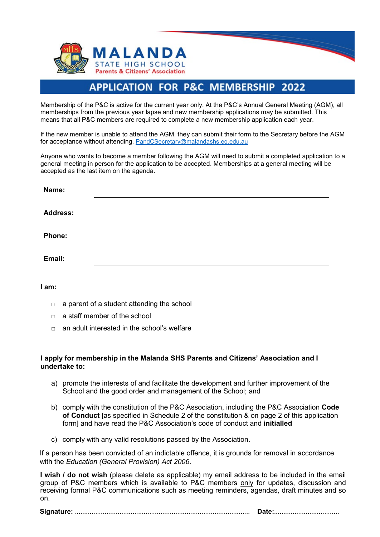



Membership of the P&C is active for the current year only. At the P&C's Annual General Meeting (AGM), all memberships from the previous year lapse and new membership applications may be submitted. This means that all P&C members are required to complete a new membership application each year.

If the new member is unable to attend the AGM, they can submit their form to the Secretary before the AGM for acceptance without attending. PandCSecretary@malandashs.eq.edu.au

Anyone who wants to become a member following the AGM will need to submit a completed application to a general meeting in person for the application to be accepted. Memberships at a general meeting will be accepted as the last item on the agenda.

| Name:           |  |  |
|-----------------|--|--|
| <b>Address:</b> |  |  |
| Phone:          |  |  |
| Email:          |  |  |

**I am:**

- $\Box$  a parent of a student attending the school
- $\Box$  a staff member of the school
- $\nabla$  an adult interested in the school's welfare

## **I apply for membership in the Malanda SHS Parents and Citizens' Association and I undertake to:**

- a) promote the interests of and facilitate the development and further improvement of the School and the good order and management of the School; and
- b) comply with the constitution of the P&C Association, including the P&C Association **Code of Conduct** [as specified in Schedule 2 of the constitution & on page 2 of this application form] and have read the P&C Association's code of conduct and **initialled**
- c) comply with any valid resolutions passed by the Association.

If a person has been convicted of an indictable offence, it is grounds for removal in accordance with the *Education (General Provision) Act 2006*.

**I wish / do not wish** (please delete as applicable) my email address to be included in the email group of P&C members which is available to P&C members only for updates, discussion and receiving formal P&C communications such as meeting reminders, agendas, draft minutes and so on.

**Signature:** .............................................................................................. **Date:**...................................